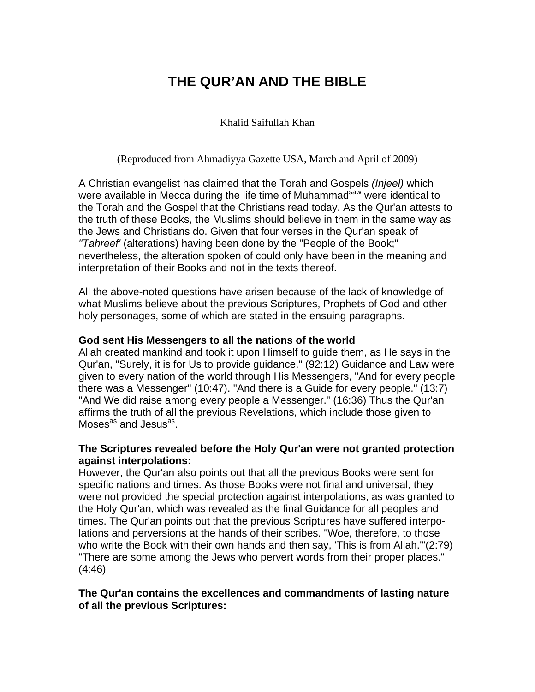# **THE QUR'AN AND THE BIBLE**

Khalid Saifullah Khan

(Reproduced from Ahmadiyya Gazette USA, March and April of 2009)

A Christian evangelist has claimed that the Torah and Gospels *(Injeel)* which were available in Mecca during the life time of Muhammad<sup>saw</sup> were identical to the Torah and the Gospel that the Christians read today. As the Qur'an attests to the truth of these Books, the Muslims should believe in them in the same way as the Jews and Christians do. Given that four verses in the Qur'an speak of *"Tahreef'* (alterations) having been done by the "People of the Book;" nevertheless, the alteration spoken of could only have been in the meaning and interpretation of their Books and not in the texts thereof.

All the above-noted questions have arisen because of the lack of knowledge of what Muslims believe about the previous Scriptures, Prophets of God and other holy personages, some of which are stated in the ensuing paragraphs.

#### **God sent His Messengers to all the nations of the world**

Allah created mankind and took it upon Himself to guide them, as He says in the Qur'an, "Surely, it is for Us to provide guidance." (92:12) Guidance and Law were given to every nation of the world through His Messengers, "And for every people there was a Messenger" (10:47). "And there is a Guide for every people." (13:7) "And We did raise among every people a Messenger." (16:36) Thus the Qur'an affirms the truth of all the previous Revelations, which include those given to Moses<sup>as</sup> and Jesus<sup>as</sup>.

#### **The Scriptures revealed before the Holy Qur'an were not granted protection against interpolations:**

However, the Qur'an also points out that all the previous Books were sent for specific nations and times. As those Books were not final and universal, they were not provided the special protection against interpolations, as was granted to the Holy Qur'an, which was revealed as the final Guidance for all peoples and times. The Qur'an points out that the previous Scriptures have suffered interpolations and perversions at the hands of their scribes. "Woe, therefore, to those who write the Book with their own hands and then say, 'This is from Allah.'"(2:79) "There are some among the Jews who pervert words from their proper places." (4:46)

#### **The Qur'an contains the excellences and commandments of lasting nature of all the previous Scriptures:**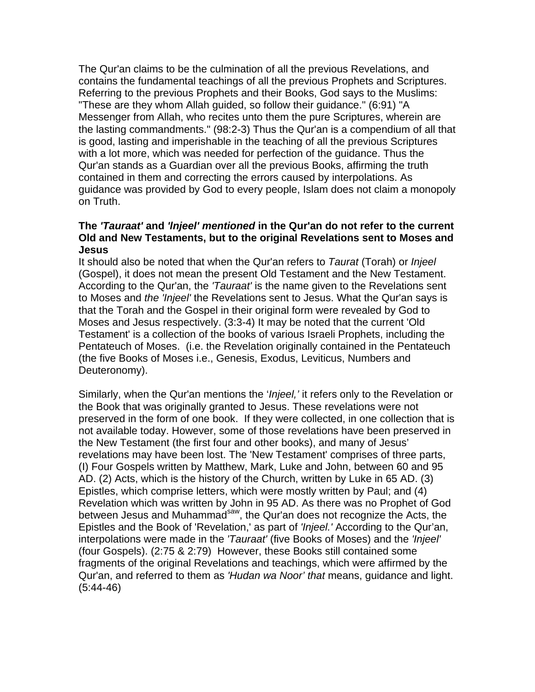The Qur'an claims to be the culmination of all the previous Revelations, and contains the fundamental teachings of all the previous Prophets and Scriptures. Referring to the previous Prophets and their Books, God says to the Muslims: "These are they whom Allah guided, so follow their guidance." (6:91) "A Messenger from Allah, who recites unto them the pure Scriptures, wherein are the lasting commandments." (98:2-3) Thus the Qur'an is a compendium of all that is good, lasting and imperishable in the teaching of all the previous Scriptures with a lot more, which was needed for perfection of the guidance. Thus the Qur'an stands as a Guardian over all the previous Books, affirming the truth contained in them and correcting the errors caused by interpolations. As guidance was provided by God to every people, Islam does not claim a monopoly on Truth.

#### **The** *'Tauraat'* **and** *'lnjeel' mentioned* **in the Qur'an do not refer to the current Old and New Testaments, but to the original Revelations sent to Moses and Jesus**

It should also be noted that when the Qur'an refers to *Taurat* (Torah) or *Injeel*  (Gospel), it does not mean the present Old Testament and the New Testament. According to the Qur'an, the *'Tauraat'* is the name given to the Revelations sent to Moses and *the 'Injeel'* the Revelations sent to Jesus. What the Qur'an says is that the Torah and the Gospel in their original form were revealed by God to Moses and Jesus respectively. (3:3-4) It may be noted that the current 'Old Testament' is a collection of the books of various Israeli Prophets, including the Pentateuch of Moses. (i.e. the Revelation originally contained in the Pentateuch (the five Books of Moses i.e., Genesis, Exodus, Leviticus, Numbers and Deuteronomy).

Similarly, when the Qur'an mentions the '*Injeel,'* it refers only to the Revelation or the Book that was originally granted to Jesus. These revelations were not preserved in the form of one book. If they were collected, in one collection that is not available today. However, some of those revelations have been preserved in the New Testament (the first four and other books), and many of Jesus' revelations may have been lost. The 'New Testament' comprises of three parts, (I) Four Gospels written by Matthew, Mark, Luke and John, between 60 and 95 AD. (2) Acts, which is the history of the Church, written by Luke in 65 AD. (3) Epistles, which comprise letters, which were mostly written by Paul; and (4) Revelation which was written by John in 95 AD. As there was no Prophet of God between Jesus and Muhammad<sup>saw</sup>, the Qur'an does not recognize the Acts, the Epistles and the Book of 'Revelation,' as part of *'Injeel.'* According to the Qur'an, interpolations were made in the *'Tauraat'* (five Books of Moses) and the *'Injeel'*  (four Gospels). (2:75 & 2:79) However, these Books still contained some fragments of the original Revelations and teachings, which were affirmed by the Qur'an, and referred to them as *'Hudan wa Noor' that* means, guidance and light. (5:44-46)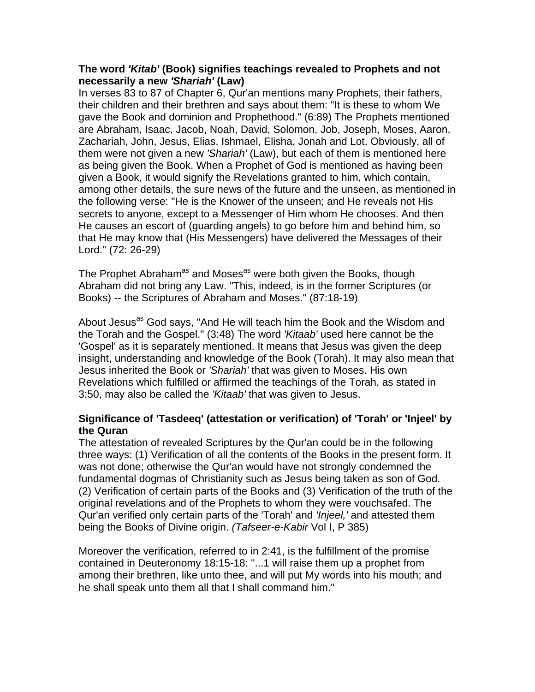# **The word** *'Kitab'* **(Book) signifies teachings revealed to Prophets and not necessarily a new** *'Shariah'* **(Law)**

In verses 83 to 87 of Chapter 6, Qur'an mentions many Prophets, their fathers, their children and their brethren and says about them: "It is these to whom We gave the Book and dominion and Prophethood." (6:89) The Prophets mentioned are Abraham, Isaac, Jacob, Noah, David, Solomon, Job, Joseph, Moses, Aaron, Zachariah, John, Jesus, Elias, Ishmael, Elisha, Jonah and Lot. Obviously, all of them were not given a new *'Shariah'* (Law), but each of them is mentioned here as being given the Book. When a Prophet of God is mentioned as having been given a Book, it would signify the Revelations granted to him, which contain, among other details, the sure news of the future and the unseen, as mentioned in the following verse: "He is the Knower of the unseen; and He reveals not His secrets to anyone, except to a Messenger of Him whom He chooses. And then He causes an escort of (guarding angels) to go before him and behind him, so that He may know that (His Messengers) have delivered the Messages of their Lord." (72: 26-29)

The Prophet Abraham<sup>as</sup> and Moses<sup>as</sup> were both given the Books, though Abraham did not bring any Law. "This, indeed, is in the former Scriptures (or Books) -- the Scriptures of Abraham and Moses." (87:18-19)

About Jesus<sup>as</sup> God says, "And He will teach him the Book and the Wisdom and the Torah and the Gospel." (3:48) The word *'Kitaab'* used here cannot be the 'Gospel' as it is separately mentioned. It means that Jesus was given the deep insight, understanding and knowledge of the Book (Torah). It may also mean that Jesus inherited the Book or *'Shariah'* that was given to Moses. His own Revelations which fulfilled or affirmed the teachings of the Torah, as stated in 3:50, may also be called the *'Kitaab'* that was given to Jesus.

# **Significance of 'Tasdeeq' (attestation or verification) of 'Torah' or 'Injeel' by the Quran**

The attestation of revealed Scriptures by the Qur'an could be in the following three ways: (1) Verification of all the contents of the Books in the present form. It was not done; otherwise the Qur'an would have not strongly condemned the fundamental dogmas of Christianity such as Jesus being taken as son of God. (2) Verification of certain parts of the Books and (3) Verification of the truth of the original revelations and of the Prophets to whom they were vouchsafed. The Qur'an verified only certain parts of the 'Torah' and *'Injeel,'* and attested them being the Books of Divine origin. *(Tafseer-e-Kabir* Vol I, P 385)

Moreover the verification, referred to in 2:41, is the fulfillment of the promise contained in Deuteronomy 18:15-18: "...1 will raise them up a prophet from among their brethren, like unto thee, and will put My words into his mouth; and he shall speak unto them all that I shall command him."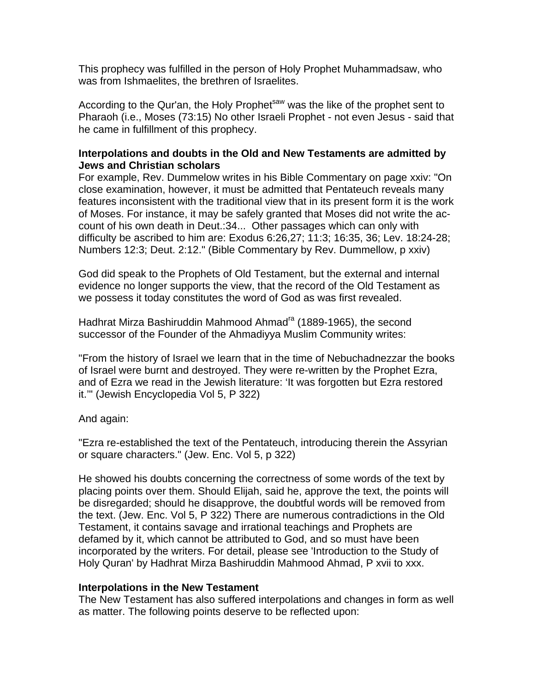This prophecy was fulfilled in the person of Holy Prophet Muhammadsaw, who was from Ishmaelites, the brethren of Israelites.

According to the Qur'an, the Holy Prophet<sup>saw</sup> was the like of the prophet sent to Pharaoh (i.e., Moses (73:15) No other Israeli Prophet - not even Jesus - said that he came in fulfillment of this prophecy.

# **Interpolations and doubts in the Old and New Testaments are admitted by Jews and Christian scholars**

For example, Rev. Dummelow writes in his Bible Commentary on page xxiv: "On close examination, however, it must be admitted that Pentateuch reveals many features inconsistent with the traditional view that in its present form it is the work of Moses. For instance, it may be safely granted that Moses did not write the account of his own death in Deut.:34... Other passages which can only with difficulty be ascribed to him are: Exodus 6:26,27; 11:3; 16:35, 36; Lev. 18:24-28; Numbers 12:3; Deut. 2:12." (Bible Commentary by Rev. Dummellow, p xxiv)

God did speak to the Prophets of Old Testament, but the external and internal evidence no longer supports the view, that the record of the Old Testament as we possess it today constitutes the word of God as was first revealed.

Hadhrat Mirza Bashiruddin Mahmood Ahmad<sup>ra</sup> (1889-1965), the second successor of the Founder of the Ahmadiyya Muslim Community writes:

"From the history of Israel we learn that in the time of Nebuchadnezzar the books of Israel were burnt and destroyed. They were re-written by the Prophet Ezra, and of Ezra we read in the Jewish literature: 'It was forgotten but Ezra restored it.'" (Jewish Encyclopedia Vol 5, P 322)

And again:

"Ezra re-established the text of the Pentateuch, introducing therein the Assyrian or square characters." (Jew. Enc. Vol 5, p 322)

He showed his doubts concerning the correctness of some words of the text by placing points over them. Should Elijah, said he, approve the text, the points will be disregarded; should he disapprove, the doubtful words will be removed from the text. (Jew. Enc. Vol 5, P 322) There are numerous contradictions in the Old Testament, it contains savage and irrational teachings and Prophets are defamed by it, which cannot be attributed to God, and so must have been incorporated by the writers. For detail, please see 'Introduction to the Study of Holy Quran' by Hadhrat Mirza Bashiruddin Mahmood Ahmad, P xvii to xxx.

# **Interpolations in the New Testament**

The New Testament has also suffered interpolations and changes in form as well as matter. The following points deserve to be reflected upon: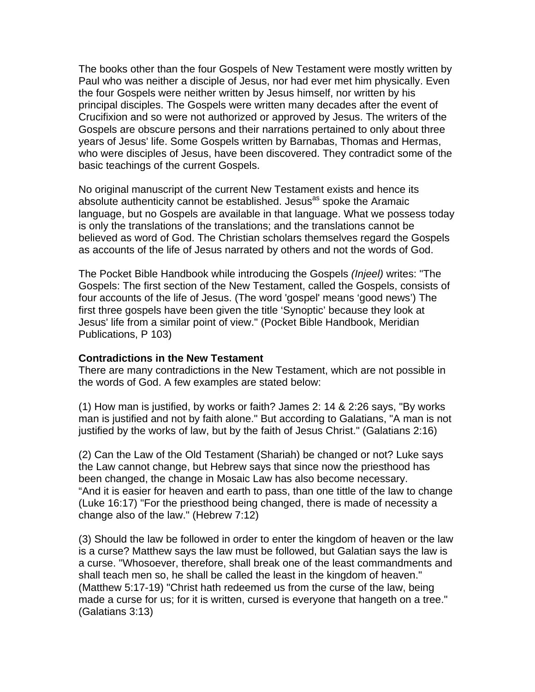The books other than the four Gospels of New Testament were mostly written by Paul who was neither a disciple of Jesus, nor had ever met him physically. Even the four Gospels were neither written by Jesus himself, nor written by his principal disciples. The Gospels were written many decades after the event of Crucifixion and so were not authorized or approved by Jesus. The writers of the Gospels are obscure persons and their narrations pertained to only about three years of Jesus' life. Some Gospels written by Barnabas, Thomas and Hermas, who were disciples of Jesus, have been discovered. They contradict some of the basic teachings of the current Gospels.

No original manuscript of the current New Testament exists and hence its absolute authenticity cannot be established. Jesus<sup>as</sup> spoke the Aramaic language, but no Gospels are available in that language. What we possess today is only the translations of the translations; and the translations cannot be believed as word of God. The Christian scholars themselves regard the Gospels as accounts of the life of Jesus narrated by others and not the words of God.

The Pocket Bible Handbook while introducing the Gospels *(Injeel)* writes: "The Gospels: The first section of the New Testament, called the Gospels, consists of four accounts of the life of Jesus. (The word 'gospel' means 'good news') The first three gospels have been given the title 'Synoptic' because they look at Jesus' life from a similar point of view." (Pocket Bible Handbook, Meridian Publications, P 103)

# **Contradictions in the New Testament**

There are many contradictions in the New Testament, which are not possible in the words of God. A few examples are stated below:

(1) How man is justified, by works or faith? James 2: 14 & 2:26 says, "By works man is justified and not by faith alone." But according to Galatians, "A man is not justified by the works of law, but by the faith of Jesus Christ." (Galatians 2:16)

(2) Can the Law of the Old Testament (Shariah) be changed or not? Luke says the Law cannot change, but Hebrew says that since now the priesthood has been changed, the change in Mosaic Law has also become necessary. "And it is easier for heaven and earth to pass, than one tittle of the law to change (Luke 16:17) "For the priesthood being changed, there is made of necessity a change also of the law." (Hebrew 7:12)

(3) Should the law be followed in order to enter the kingdom of heaven or the law is a curse? Matthew says the law must be followed, but Galatian says the law is a curse. "Whosoever, therefore, shall break one of the least commandments and shall teach men so, he shall be called the least in the kingdom of heaven." (Matthew 5:17-19) "Christ hath redeemed us from the curse of the law, being made a curse for us; for it is written, cursed is everyone that hangeth on a tree." (Galatians 3:13)